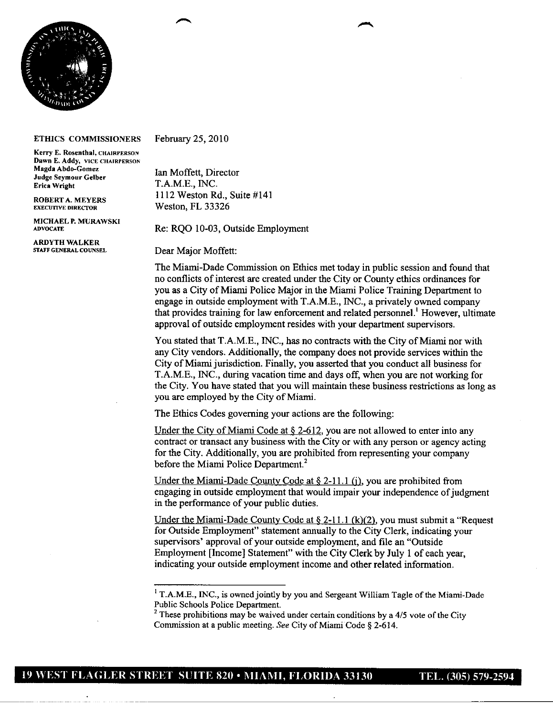

## **ETHICS COMMISSIONERS**

**Kerry E. Rosenthal, CUAIRPERSON Dawn E. Addy, VICE CHAIRPERSON Magda Abdo-Gomez** Ian Moffett, Director **Judge Seymour Celber Erica** Wright **T.A.M.E., INC.** 

**MICHAEL P. MURAWSKL**

**ARDYTH WALKER**

February 25, 2010

ROBERT A. MEYERS 1112 Weston Rd., Suite #141<br>EXECUTIVE DIRECTOR Weston, FL 33326 **Weston, FL 33326** 

Re: RQO 10-03, Outside Employment

**Dear Major Moffett:** 

The Miami-Dade Commission on Ethics met today in public session and found that no conflicts of interest are created under the City or County ethics ordinances for you as a City of Miami Police Major in the Miami Police Training Department to engage in outside employment with T.A.M.E., INC., a privately owned company that provides training for law enforcement and related personnel! However, ultimate approval of outside employment resides with your department supervisors.

You stated that T.A.M.E., INC., has no contracts with the City of Miami nor with any City vendors. Additionally, the company does not provide services within the City of Miami jurisdiction. Finally, you asserted that you conduct all business for T.A.M.E., INC., during vacation time and days off, when you are not working for the City. You have stated that you will maintain these business restrictions as long as you are employed by the City of Miami.

The Ethics Codes governing your actions are the following:

Under the City of Miami Code at  $\S$  2-612, you are not allowed to enter into any contract or transact any business with the City or with any person or agency acting for the City. Additionally, you are prohibited from representing your company before the Miami Police Department.<sup>2</sup>

Under the Miami-Dade County Code at  $\S 2-11.1$  (i), you are prohibited from engaging in outside employment that would impair your independence of judgment in the performance of your public duties.

Under the Miami-Dade County Code at  $\S 2$ -11.1 (k)(2), you must submit a "Request" for Outside Employment" statement annually to the City Clerk, indicating your supervisors' approval of your outside employment, and file an "Outside Employment [Income] Statement" with the City Clerk by July <sup>1</sup> of each year, indicating your outside employment income and other related information.

<sup>&</sup>lt;sup>1</sup> T.A.M.E., INC., is owned jointly by you and Sergeant William Tagle of the Miami-Dade Public Schools Police Department.

<sup>&</sup>lt;sup>2</sup> These prohibitions may be waived under certain conditions by a 4/5 vote of the City Commission at a public meeting. See City of Miami Code § 2-614.